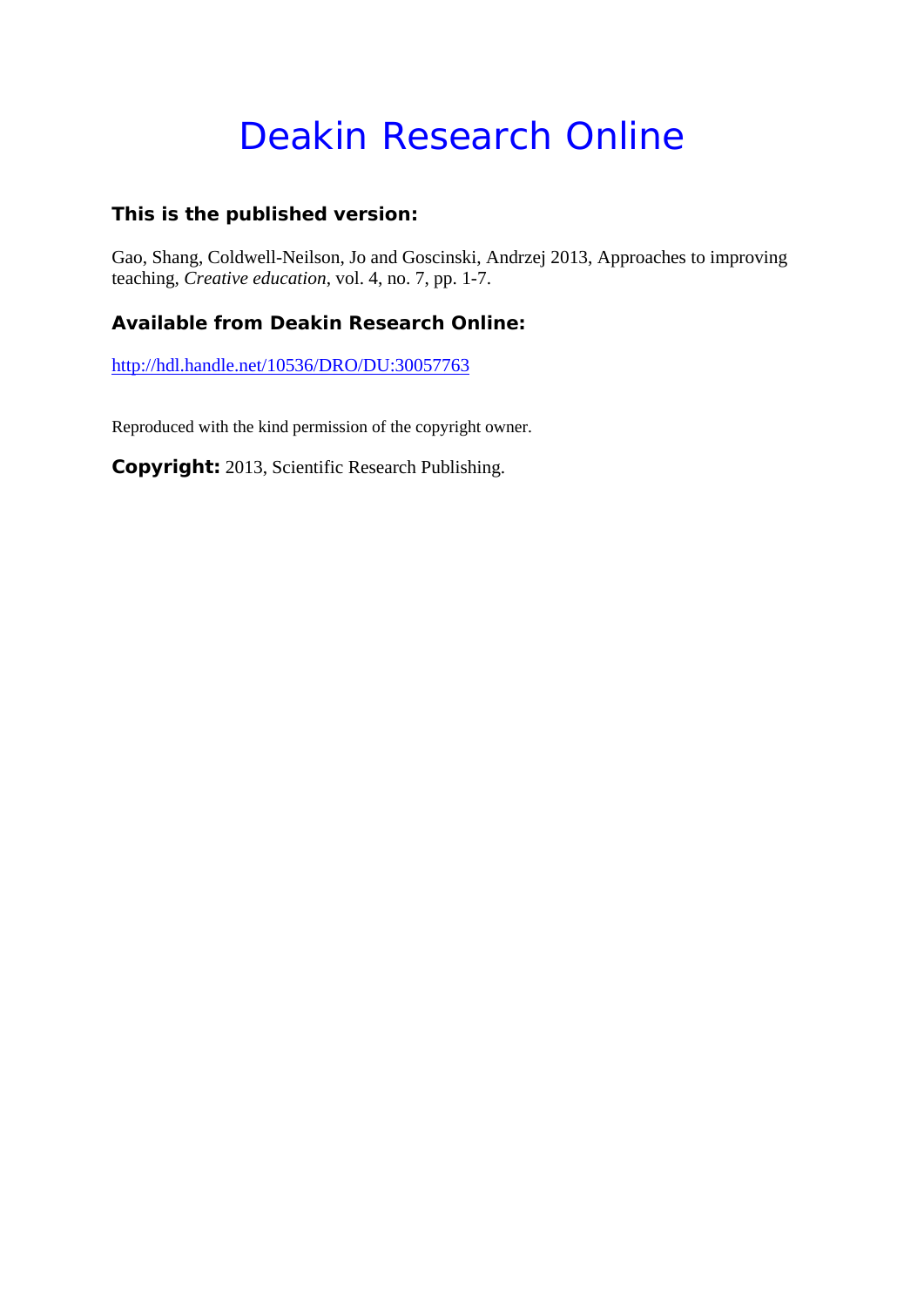# Deakin Research Online

### **This is the published version:**

Gao, Shang, Coldwell-Neilson, Jo and Goscinski, Andrzej 2013, Approaches to improving teaching*, Creative education*, vol. 4, no. 7, pp. 1-7.

## **Available from Deakin Research Online:**

http://hdl.handle.net/10536/DRO/DU:30057763

Reproduced with the kind permission of the copyright owner.

**Copyright:** 2013, Scientific Research Publishing.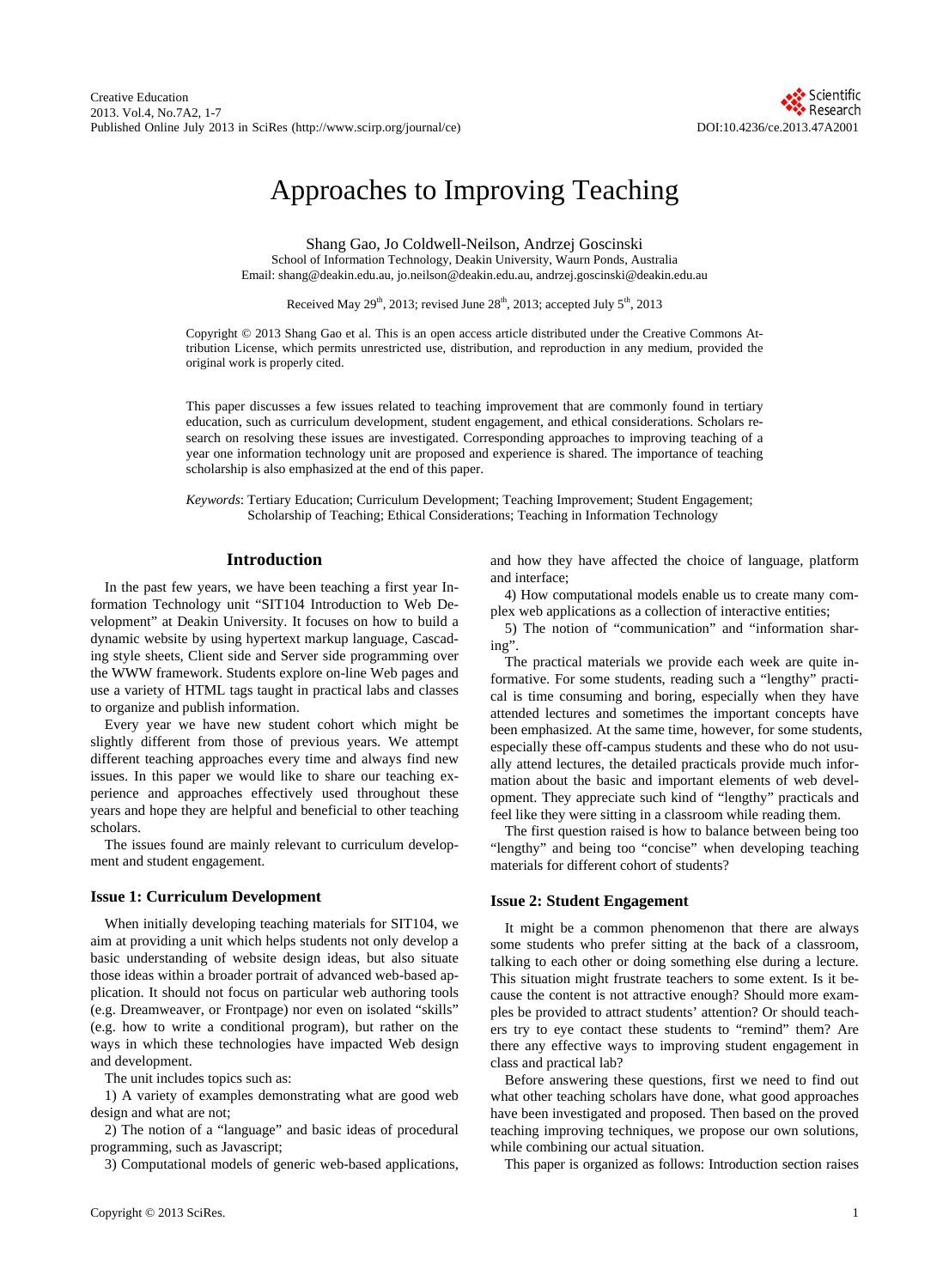# Approaches to Improving Teaching

Shang Gao, Jo Coldwell-Neilson, Andrzej Goscinski School of Information Technology, Deakin University, Waurn Ponds, Australia Email: shang@deakin.edu.au, jo.neilson@deakin.edu.au, andrzej.goscinski@deakin.edu.au

Received May  $29<sup>th</sup>$ , 2013; revised June  $28<sup>th</sup>$ , 2013; accepted July  $5<sup>th</sup>$ , 2013

Copyright © 2013 Shang Gao et al. This is an open access article distributed under the Creative Commons Attribution License, which permits unrestricted use, distribution, and reproduction in any medium, provided the original work is properly cited.

This paper discusses a few issues related to teaching improvement that are commonly found in tertiary education, such as curriculum development, student engagement, and ethical considerations. Scholars research on resolving these issues are investigated. Corresponding approaches to improving teaching of a year one information technology unit are proposed and experience is shared. The importance of teaching scholarship is also emphasized at the end of this paper.

*Keywords*: Tertiary Education; Curriculum Development; Teaching Improvement; Student Engagement; Scholarship of Teaching; Ethical Considerations; Teaching in Information Technology

#### **Introduction**

In the past few years, we have been teaching a first year Information Technology unit "SIT104 Introduction to Web Development" at Deakin University. It focuses on how to build a dynamic website by using hypertext markup language, Cascading style sheets, Client side and Server side programming over the WWW framework. Students explore on-line Web pages and use a variety of HTML tags taught in practical labs and classes to organize and publish information.

Every year we have new student cohort which might be slightly different from those of previous years. We attempt different teaching approaches every time and always find new issues. In this paper we would like to share our teaching experience and approaches effectively used throughout these years and hope they are helpful and beneficial to other teaching scholars.

The issues found are mainly relevant to curriculum development and student engagement.

#### **Issue 1: Curriculum Development**

When initially developing teaching materials for SIT104, we aim at providing a unit which helps students not only develop a basic understanding of website design ideas, but also situate those ideas within a broader portrait of advanced web-based application. It should not focus on particular web authoring tools (e.g. Dreamweaver, or Frontpage) nor even on isolated "skills" (e.g. how to write a conditional program), but rather on the ways in which these technologies have impacted Web design and development.

The unit includes topics such as:

1) A variety of examples demonstrating what are good web design and what are not;

2) The notion of a "language" and basic ideas of procedural programming, such as Javascript;

3) Computational models of generic web-based applications,

and how they have affected the choice of language, platform and interface;

4) How computational models enable us to create many complex web applications as a collection of interactive entities;

5) The notion of "communication" and "information sharing".

The practical materials we provide each week are quite informative. For some students, reading such a "lengthy" practical is time consuming and boring, especially when they have attended lectures and sometimes the important concepts have been emphasized. At the same time, however, for some students, especially these off-campus students and these who do not usually attend lectures, the detailed practicals provide much information about the basic and important elements of web development. They appreciate such kind of "lengthy" practicals and feel like they were sitting in a classroom while reading them.

The first question raised is how to balance between being too "lengthy" and being too "concise" when developing teaching materials for different cohort of students?

#### **Issue 2: Student Engagement**

It might be a common phenomenon that there are always some students who prefer sitting at the back of a classroom, talking to each other or doing something else during a lecture. This situation might frustrate teachers to some extent. Is it because the content is not attractive enough? Should more examples be provided to attract students' attention? Or should teachers try to eye contact these students to "remind" them? Are there any effective ways to improving student engagement in class and practical lab?

Before answering these questions, first we need to find out what other teaching scholars have done, what good approaches have been investigated and proposed. Then based on the proved teaching improving techniques, we propose our own solutions, while combining our actual situation.

This paper is organized as follows: Introduction section raises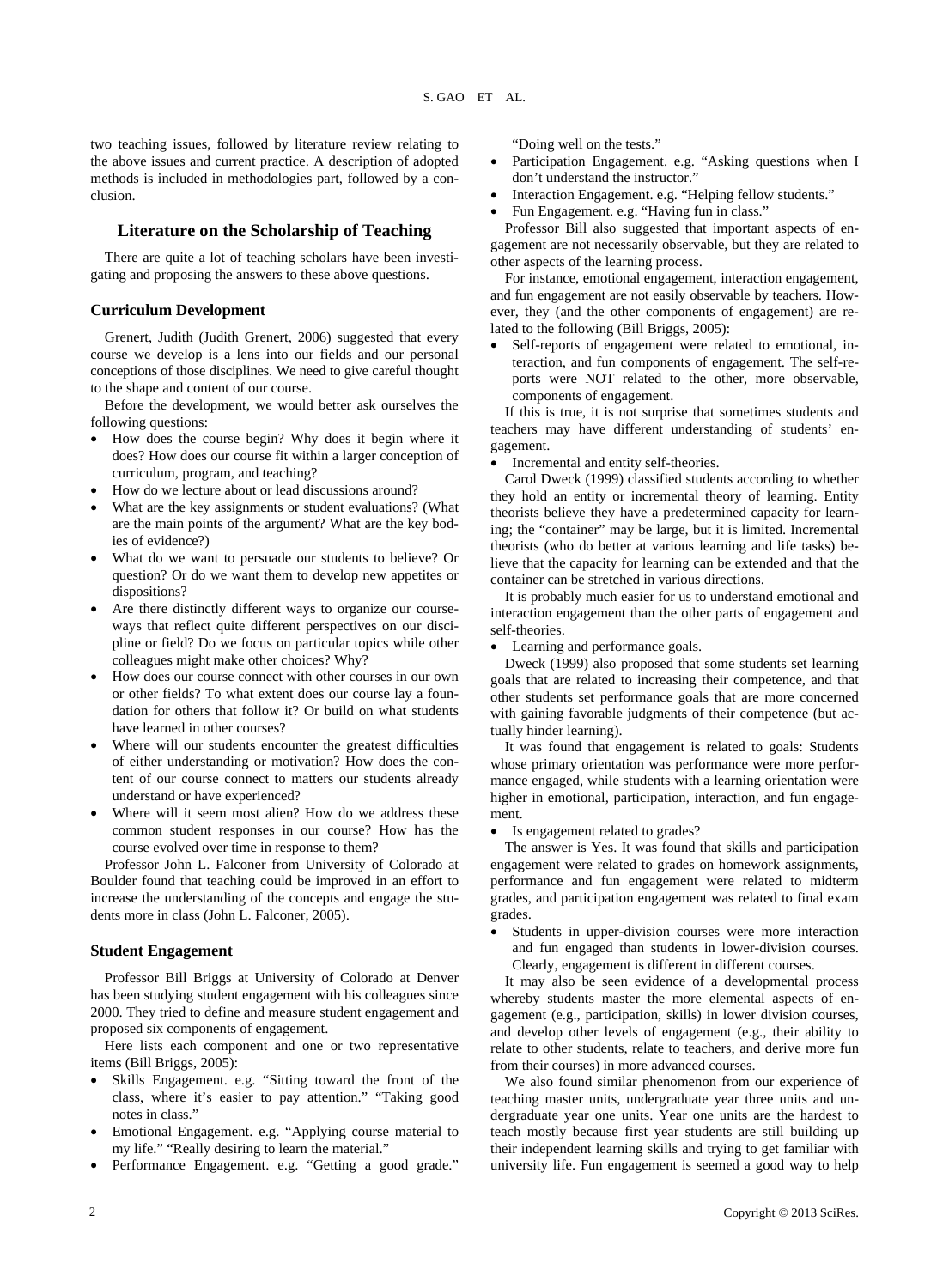two teaching issues, followed by literature review relating to the above issues and current practice. A description of adopted methods is included in methodologies part, followed by a conclusion.

#### **Literature on the Scholarship of Teaching**

There are quite a lot of teaching scholars have been investigating and proposing the answers to these above questions.

#### **Curriculum Development**

Grenert, Judith (Judith Grenert, 2006) suggested that every course we develop is a lens into our fields and our personal conceptions of those disciplines. We need to give careful thought to the shape and content of our course.

Before the development, we would better ask ourselves the following questions:

- How does the course begin? Why does it begin where it does? How does our course fit within a larger conception of curriculum, program, and teaching?
- How do we lecture about or lead discussions around?
- What are the key assignments or student evaluations? (What are the main points of the argument? What are the key bodies of evidence?)
- What do we want to persuade our students to believe? Or question? Or do we want them to develop new appetites or dispositions?
- Are there distinctly different ways to organize our courseways that reflect quite different perspectives on our discipline or field? Do we focus on particular topics while other colleagues might make other choices? Why?
- How does our course connect with other courses in our own or other fields? To what extent does our course lay a foundation for others that follow it? Or build on what students have learned in other courses?
- Where will our students encounter the greatest difficulties of either understanding or motivation? How does the content of our course connect to matters our students already understand or have experienced?
- Where will it seem most alien? How do we address these common student responses in our course? How has the course evolved over time in response to them?

Professor John L. Falconer from University of Colorado at Boulder found that teaching could be improved in an effort to increase the understanding of the concepts and engage the students more in class (John L. Falconer, 2005).

#### **Student Engagement**

Professor Bill Briggs at University of Colorado at Denver has been studying student engagement with his colleagues since 2000. They tried to define and measure student engagement and proposed six components of engagement.

Here lists each component and one or two representative items (Bill Briggs, 2005):

- Skills Engagement. e.g. "Sitting toward the front of the class, where it's easier to pay attention." "Taking good notes in class."
- Emotional Engagement. e.g. "Applying course material to my life." "Really desiring to learn the material."
- Performance Engagement. e.g. "Getting a good grade."

"Doing well on the tests."

- Participation Engagement. e.g. "Asking questions when I don't understand the instructor.'
- Interaction Engagement. e.g. "Helping fellow students."
- Fun Engagement. e.g. "Having fun in class."

Professor Bill also suggested that important aspects of engagement are not necessarily observable, but they are related to other aspects of the learning process.

For instance, emotional engagement, interaction engagement, and fun engagement are not easily observable by teachers. However, they (and the other components of engagement) are related to the following (Bill Briggs, 2005):

 Self-reports of engagement were related to emotional, interaction, and fun components of engagement. The self-reports were NOT related to the other, more observable, components of engagement.

If this is true, it is not surprise that sometimes students and teachers may have different understanding of students' engagement.

Incremental and entity self-theories.

Carol Dweck (1999) classified students according to whether they hold an entity or incremental theory of learning. Entity theorists believe they have a predetermined capacity for learning; the "container" may be large, but it is limited. Incremental theorists (who do better at various learning and life tasks) believe that the capacity for learning can be extended and that the container can be stretched in various directions.

It is probably much easier for us to understand emotional and interaction engagement than the other parts of engagement and self-theories.

Learning and performance goals.

Dweck (1999) also proposed that some students set learning goals that are related to increasing their competence, and that other students set performance goals that are more concerned with gaining favorable judgments of their competence (but actually hinder learning).

It was found that engagement is related to goals: Students whose primary orientation was performance were more performance engaged, while students with a learning orientation were higher in emotional, participation, interaction, and fun engagement.

Is engagement related to grades?

The answer is Yes. It was found that skills and participation engagement were related to grades on homework assignments, performance and fun engagement were related to midterm grades, and participation engagement was related to final exam grades.

 Students in upper-division courses were more interaction and fun engaged than students in lower-division courses. Clearly, engagement is different in different courses.

It may also be seen evidence of a developmental process whereby students master the more elemental aspects of engagement (e.g., participation, skills) in lower division courses, and develop other levels of engagement (e.g., their ability to relate to other students, relate to teachers, and derive more fun from their courses) in more advanced courses.

We also found similar phenomenon from our experience of teaching master units, undergraduate year three units and undergraduate year one units. Year one units are the hardest to teach mostly because first year students are still building up their independent learning skills and trying to get familiar with university life. Fun engagement is seemed a good way to help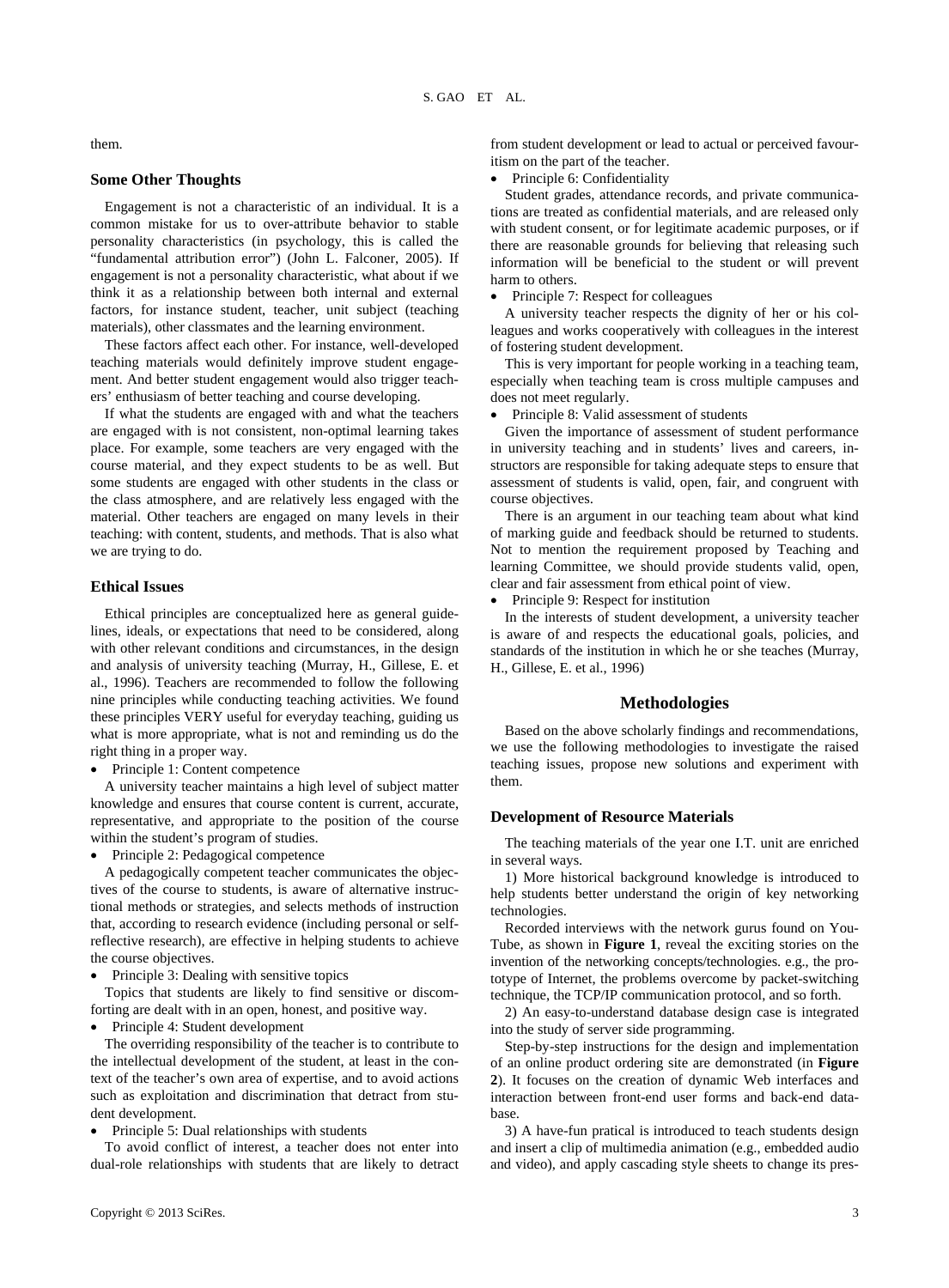them.

#### **Some Other Thoughts**

Engagement is not a characteristic of an individual. It is a common mistake for us to over-attribute behavior to stable personality characteristics (in psychology, this is called the "fundamental attribution error") (John L. Falconer, 2005). If engagement is not a personality characteristic, what about if we think it as a relationship between both internal and external factors, for instance student, teacher, unit subject (teaching materials), other classmates and the learning environment.

These factors affect each other. For instance, well-developed teaching materials would definitely improve student engagement. And better student engagement would also trigger teachers' enthusiasm of better teaching and course developing.

If what the students are engaged with and what the teachers are engaged with is not consistent, non-optimal learning takes place. For example, some teachers are very engaged with the course material, and they expect students to be as well. But some students are engaged with other students in the class or the class atmosphere, and are relatively less engaged with the material. Other teachers are engaged on many levels in their teaching: with content, students, and methods. That is also what we are trying to do.

#### **Ethical Issues**

Ethical principles are conceptualized here as general guidelines, ideals, or expectations that need to be considered, along with other relevant conditions and circumstances, in the design and analysis of university teaching (Murray, H., Gillese, E. et al., 1996). Teachers are recommended to follow the following nine principles while conducting teaching activities. We found these principles VERY useful for everyday teaching, guiding us what is more appropriate, what is not and reminding us do the right thing in a proper way.

• Principle 1: Content competence

A university teacher maintains a high level of subject matter knowledge and ensures that course content is current, accurate, representative, and appropriate to the position of the course within the student's program of studies.

Principle 2: Pedagogical competence

A pedagogically competent teacher communicates the objectives of the course to students, is aware of alternative instructional methods or strategies, and selects methods of instruction that, according to research evidence (including personal or selfreflective research), are effective in helping students to achieve the course objectives.

Principle 3: Dealing with sensitive topics

Topics that students are likely to find sensitive or discomforting are dealt with in an open, honest, and positive way.

Principle 4: Student development

The overriding responsibility of the teacher is to contribute to the intellectual development of the student, at least in the context of the teacher's own area of expertise, and to avoid actions such as exploitation and discrimination that detract from student development.

Principle 5: Dual relationships with students

To avoid conflict of interest, a teacher does not enter into dual-role relationships with students that are likely to detract Principle 6: Confidentiality

Student grades, attendance records, and private communications are treated as confidential materials, and are released only with student consent, or for legitimate academic purposes, or if there are reasonable grounds for believing that releasing such information will be beneficial to the student or will prevent harm to others.

• Principle 7: Respect for colleagues

A university teacher respects the dignity of her or his colleagues and works cooperatively with colleagues in the interest of fostering student development.

This is very important for people working in a teaching team, especially when teaching team is cross multiple campuses and does not meet regularly.

Principle 8: Valid assessment of students

Given the importance of assessment of student performance in university teaching and in students' lives and careers, instructors are responsible for taking adequate steps to ensure that assessment of students is valid, open, fair, and congruent with course objectives.

There is an argument in our teaching team about what kind of marking guide and feedback should be returned to students. Not to mention the requirement proposed by Teaching and learning Committee, we should provide students valid, open, clear and fair assessment from ethical point of view.

Principle 9: Respect for institution

In the interests of student development, a university teacher is aware of and respects the educational goals, policies, and standards of the institution in which he or she teaches (Murray, H., Gillese, E. et al., 1996)

#### **Methodologies**

Based on the above scholarly findings and recommendations, we use the following methodologies to investigate the raised teaching issues, propose new solutions and experiment with them.

#### **Development of Resource Materials**

The teaching materials of the year one I.T. unit are enriched in several ways.

1) More historical background knowledge is introduced to help students better understand the origin of key networking technologies.

Recorded interviews with the network gurus found on You-Tube, as shown in **Figure 1**, reveal the exciting stories on the invention of the networking concepts/technologies. e.g., the prototype of Internet, the problems overcome by packet-switching technique, the TCP/IP communication protocol, and so forth.

2) An easy-to-understand database design case is integrated into the study of server side programming.

Step-by-step instructions for the design and implementation of an online product ordering site are demonstrated (in **Figure 2**). It focuses on the creation of dynamic Web interfaces and interaction between front-end user forms and back-end database.

3) A have-fun pratical is introduced to teach students design and insert a clip of multimedia animation (e.g., embedded audio and video), and apply cascading style sheets to change its pres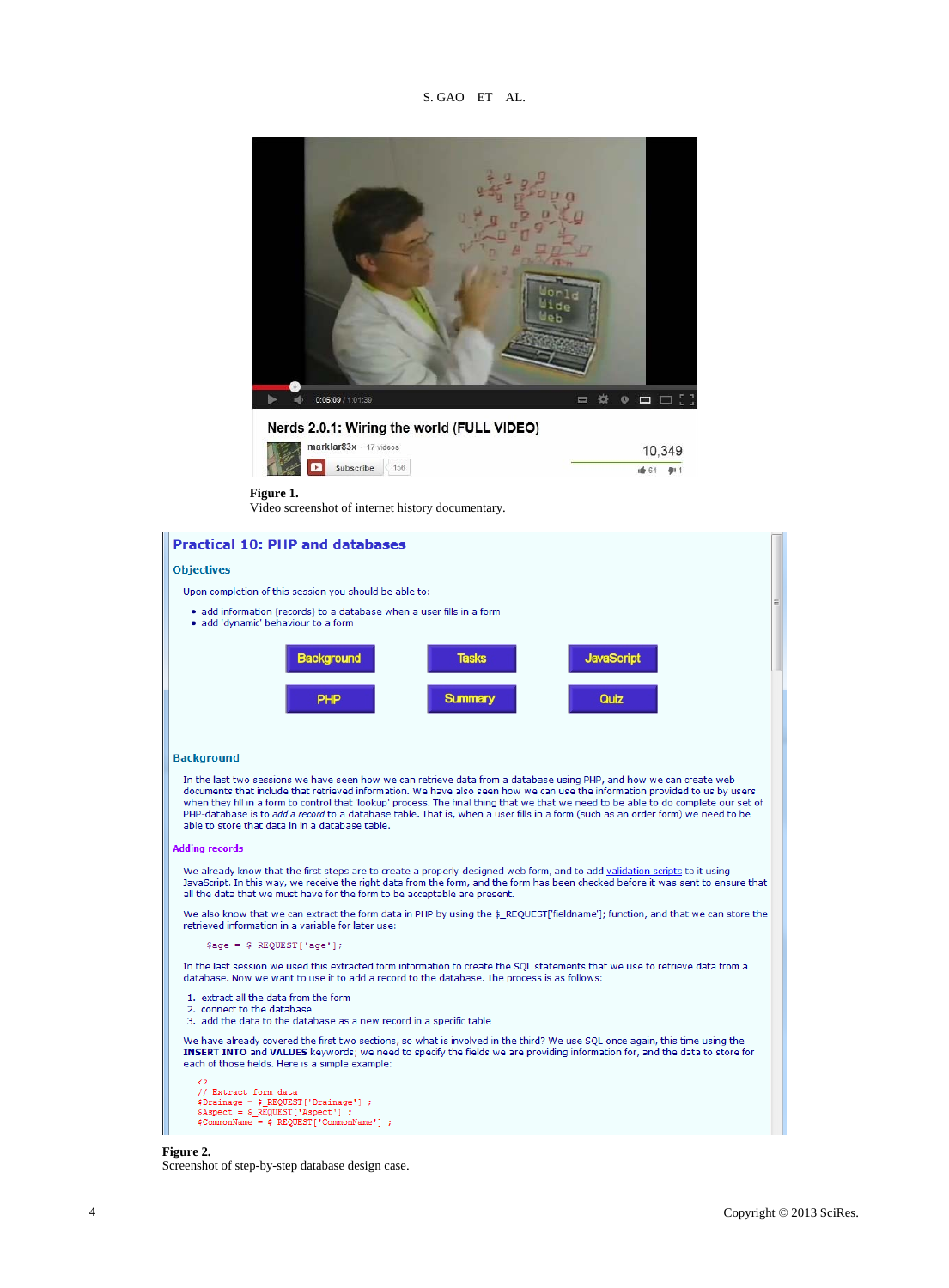S. GAO ET AL.





#### **Background**

In the last two sessions we have seen how we can retrieve data from a database using PHP, and how we can create web<br>documents that include that retrieved information. We have also seen how we can use the information provid when they fill in a form to control that 'lookup' process. The final thing that we that we need to be able to do complete our set of PHP-database is to add a record to a database table. That is, when a user fills in a form (such as an order form) we need to be able to store that data in in a database table.

#### **Adding records**

We already know that the first steps are to create a properly-designed web form, and to add validation scripts to it using JavaScript. In this way, we receive the right data from the form, and the form has been checked before it was sent to ensure that all the data that we must have for the form to be acceptable are present.

We also know that we can extract the form data in PHP by using the \$\_REQUEST['fieldname']; function, and that we can store the retrieved information in a variable for later use:

 $\text{Page} = \text{$ REGUEST['age']};$ 

In the last session we used this extracted form information to create the SQL statements that we use to retrieve data from a database. Now we want to use it to add a record to the database. The process is as follows:

- 1. extract all the data from the form
- 2. connect to the database
- 3. add the data to the database as a new record in a specific table

We have already covered the first two sections, so what is involved in the third? We use SQL once again, this time using the INSERT INTO and VALUES keywords; we need to specify the fields we are providing information for, and the data to store for each of those fields. Here is a simple example:

```
// Extract form data
% / Extract form data<br>
\frac{1}{2} = \frac{1}{2} REQUEST['Drainage'] ;<br>
\frac{1}{2} = \frac{1}{2} REQUEST['Aspect'] ;<br>
\frac{1}{2} COMMONNAME = \frac{1}{2} REQUEST['COMMONNAME'] ;
```
#### **Figure 2.**

Screenshot of step-by-step database design case.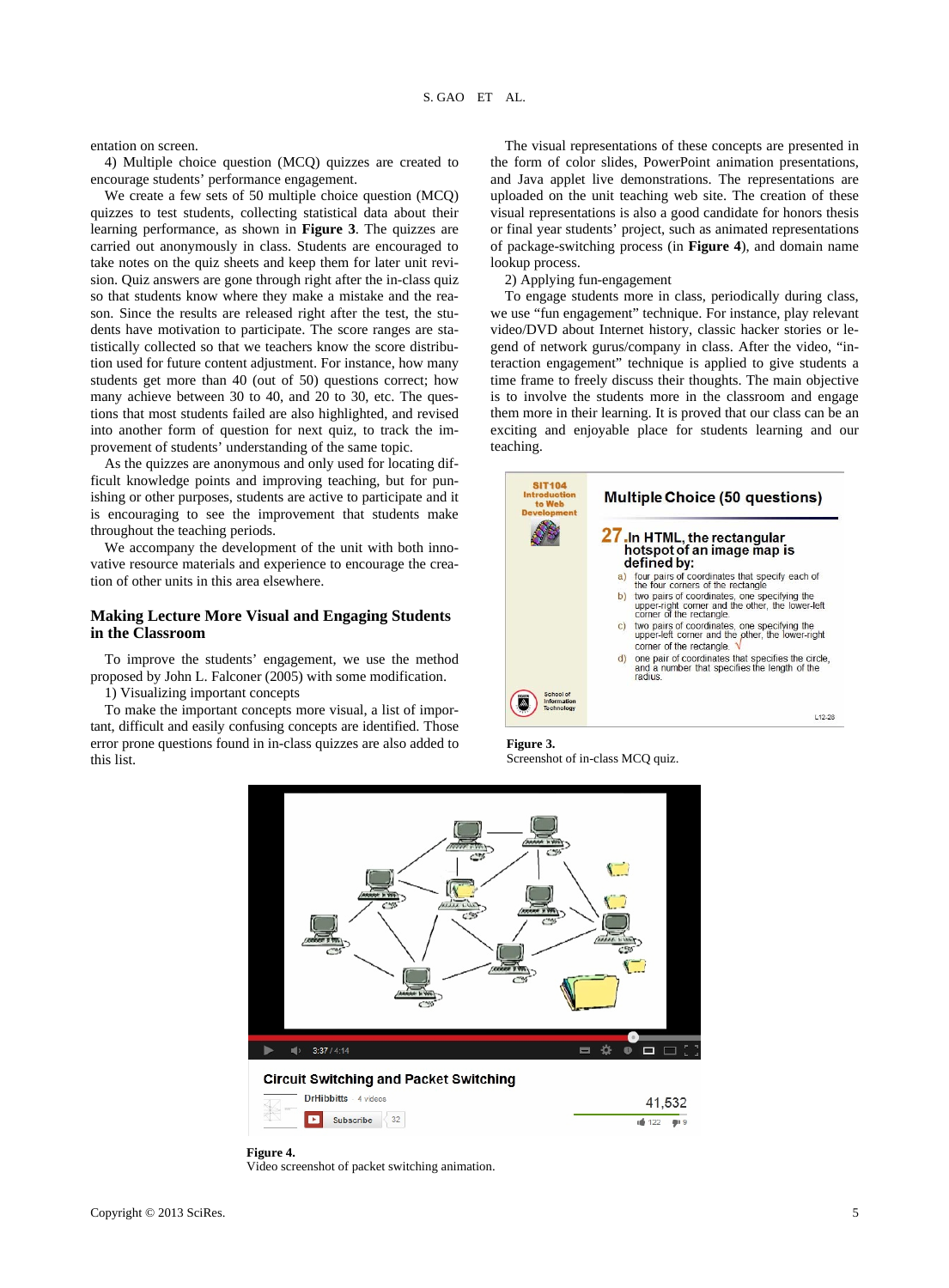entation on screen.

4) Multiple choice question (MCQ) quizzes are created to encourage students' performance engagement.

We create a few sets of 50 multiple choice question (MCQ) quizzes to test students, collecting statistical data about their learning performance, as shown in **Figure 3**. The quizzes are carried out anonymously in class. Students are encouraged to take notes on the quiz sheets and keep them for later unit revision. Quiz answers are gone through right after the in-class quiz so that students know where they make a mistake and the reason. Since the results are released right after the test, the students have motivation to participate. The score ranges are statistically collected so that we teachers know the score distribution used for future content adjustment. For instance, how many students get more than 40 (out of 50) questions correct; how many achieve between 30 to 40, and 20 to 30, etc. The questions that most students failed are also highlighted, and revised into another form of question for next quiz, to track the improvement of students' understanding of the same topic.

As the quizzes are anonymous and only used for locating difficult knowledge points and improving teaching, but for punishing or other purposes, students are active to participate and it is encouraging to see the improvement that students make throughout the teaching periods.

We accompany the development of the unit with both innovative resource materials and experience to encourage the creation of other units in this area elsewhere.

#### **Making Lecture More Visual and Engaging Students in the Classroom**

To improve the students' engagement, we use the method proposed by John L. Falconer (2005) with some modification.

1) Visualizing important concepts

To make the important concepts more visual, a list of important, difficult and easily confusing concepts are identified. Those error prone questions found in in-class quizzes are also added to this list.

The visual representations of these concepts are presented in the form of color slides, PowerPoint animation presentations, and Java applet live demonstrations. The representations are uploaded on the unit teaching web site. The creation of these visual representations is also a good candidate for honors thesis or final year students' project, such as animated representations of package-switching process (in **Figure 4**), and domain name lookup process.

2) Applying fun-engagement

To engage students more in class, periodically during class, we use "fun engagement" technique. For instance, play relevant video/DVD about Internet history, classic hacker stories or legend of network gurus/company in class. After the video, "interaction engagement" technique is applied to give students a time frame to freely discuss their thoughts. The main objective is to involve the students more in the classroom and engage them more in their learning. It is proved that our class can be an exciting and enjoyable place for students learning and our teaching.



**Figure 3.**  Screenshot of in-class MCQ quiz.



**Figure 4.** 

Video screenshot of packet switching animation.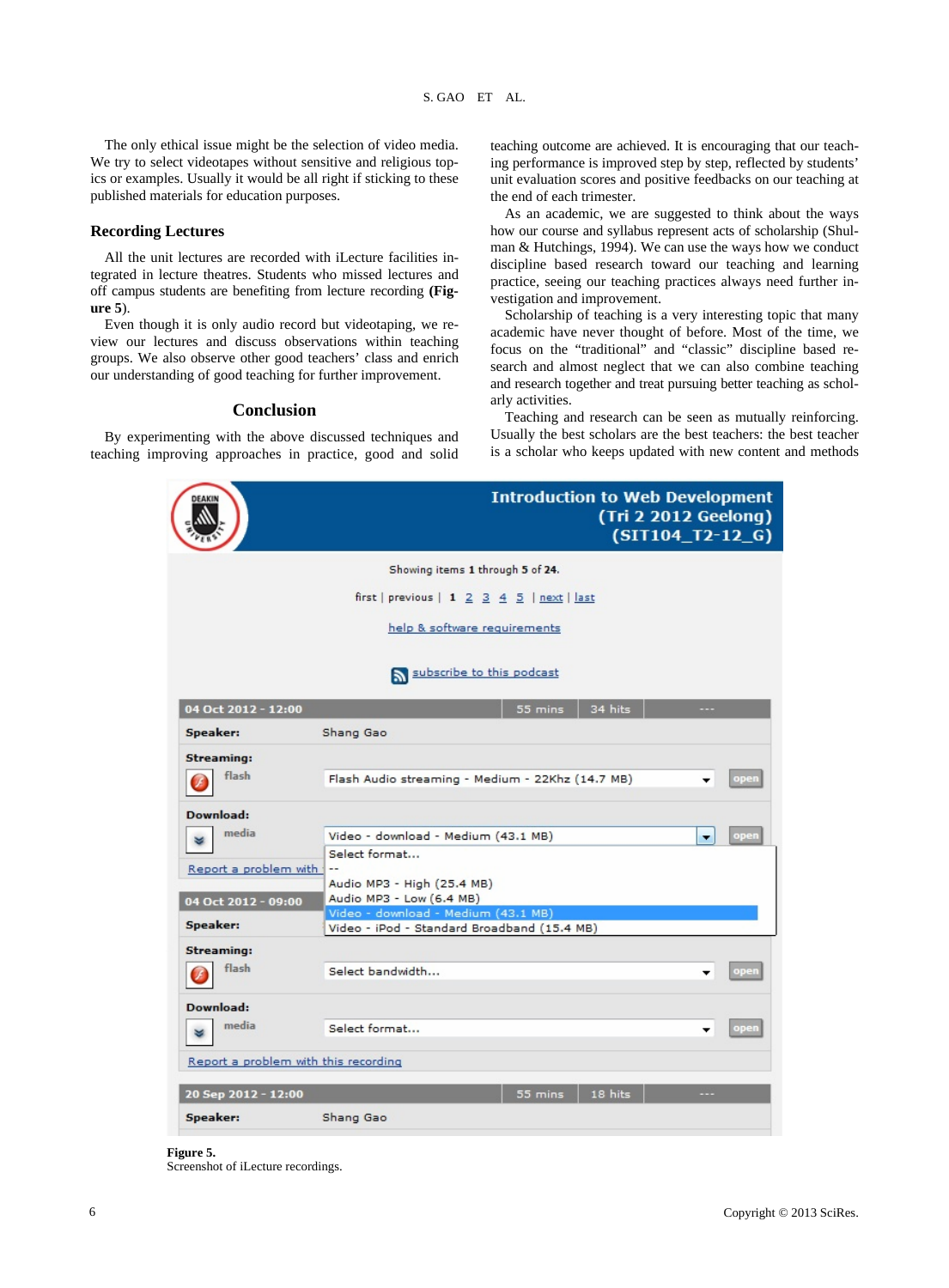The only ethical issue might be the selection of video media. We try to select videotapes without sensitive and religious topics or examples. Usually it would be all right if sticking to these published materials for education purposes.

#### **Recording Lectures**

All the unit lectures are recorded with iLecture facilities integrated in lecture theatres. Students who missed lectures and off campus students are benefiting from lecture recording **(Figure 5**).

Even though it is only audio record but videotaping, we review our lectures and discuss observations within teaching groups. We also observe other good teachers' class and enrich our understanding of good teaching for further improvement.

#### **Conclusion**

By experimenting with the above discussed techniques and teaching improving approaches in practice, good and solid teaching outcome are achieved. It is encouraging that our teaching performance is improved step by step, reflected by students' unit evaluation scores and positive feedbacks on our teaching at the end of each trimester.

As an academic, we are suggested to think about the ways how our course and syllabus represent acts of scholarship (Shulman & Hutchings, 1994). We can use the ways how we conduct discipline based research toward our teaching and learning practice, seeing our teaching practices always need further investigation and improvement.

Scholarship of teaching is a very interesting topic that many academic have never thought of before. Most of the time, we focus on the "traditional" and "classic" discipline based research and almost neglect that we can also combine teaching and research together and treat pursuing better teaching as scholarly activities.

Teaching and research can be seen as mutually reinforcing. Usually the best scholars are the best teachers: the best teacher is a scholar who keeps updated with new content and methods



#### **Figure 5.**

Screenshot of iLecture recordings.